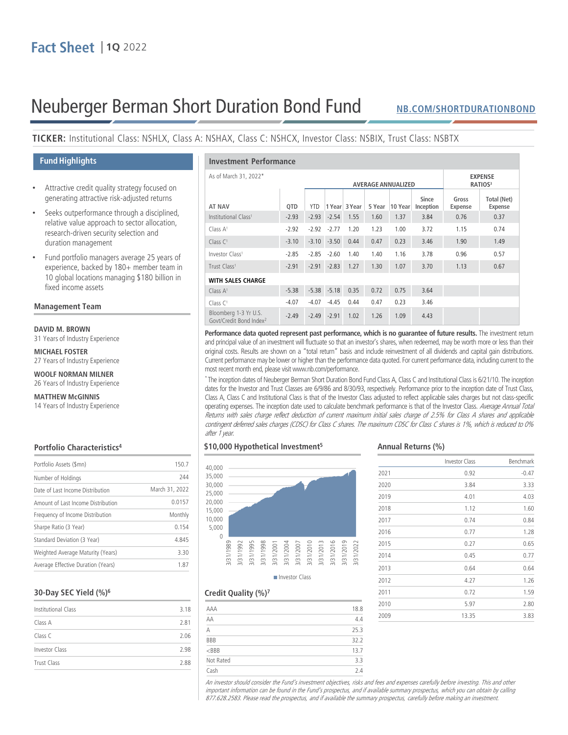# Neuberger Berman Short Duration Bond Fund

## **[NB.COM/SHORTDURATIONBOND](http://www.nb.com/Pages/Public/en-us/Products/short-duration-bond-fund.aspx)**

# **TICKER:** Institutional Class: NSHLX, Class A: NSHAX, Class C: NSHCX, Investor Class: NSBIX, Trust Class: NSBTX

## **Fund Highlights**

- Attractive credit quality strategy focused on generating attractive risk-adjusted returns
- Seeks outperformance through a disciplined, relative value approach to sector allocation, research-driven security selection and duration management
- Fund portfolio managers average 25 years of experience, backed by 180+ member team in 10 global locations managing \$180 billion in fixed income assets

### **Management Team**

#### **DAVID M. BROWN**

31 Years of Industry Experience

**MICHAEL FOSTER** 27 Years of Industry Experience

## **WOOLF NORMAN MILNER**

26 Years of Industry Experience

## **MATTHEW McGINNIS**

14 Years of Industry Experience

### **Portfolio Characteristics4**

| Portfolio Assets (\$mn)            | 150.7          |
|------------------------------------|----------------|
| Number of Holdings                 | 244            |
| Date of Last Income Distribution   | March 31, 2022 |
| Amount of Last Income Distribution | 0.0157         |
| Frequency of Income Distribution   | Monthly        |
| Sharpe Ratio (3 Year)              | 0.154          |
| Standard Deviation (3 Year)        | 4.845          |
| Weighted Average Maturity (Years)  | 330            |
| Average Effective Duration (Years) | 1.87           |
|                                    |                |

## **30-Day SEC Yield (%)6**

| Institutional Class | 3.18 |  |
|---------------------|------|--|
| Class A             | 2.81 |  |
| Class C             | 2.06 |  |
| Investor Class      | 2.98 |  |
| Trust Class         | 288  |  |

| <b>Investment Performance</b>                                |         |                           |                |               |        |                                       |                    |                  |                               |
|--------------------------------------------------------------|---------|---------------------------|----------------|---------------|--------|---------------------------------------|--------------------|------------------|-------------------------------|
| As of March 31, 2022*                                        |         | <b>AVERAGE ANNUALIZED</b> |                |               |        | <b>EXPENSE</b><br>RATIOS <sup>3</sup> |                    |                  |                               |
| <b>AT NAV</b>                                                | QTD     | <b>YTD</b>                |                | 1 Year 3 Year | 5 Year | 10 Year                               | Since<br>Inception | Gross<br>Expense | <b>Total (Net)</b><br>Expense |
| Institutional Class <sup>1</sup>                             | $-2.93$ | $-2.93$                   | $-2.54$        | 1.55          | 1.60   | 1.37                                  | 3.84               | 0.76             | 0.37                          |
| Class A <sup>1</sup>                                         | $-2.92$ | $-2.92$                   | $-2.77$        | 1.20          | 1.23   | 1.00                                  | 3.72               | 1.15             | 0.74                          |
| Class C <sup>1</sup>                                         | $-3.10$ | $-3.10$                   | $-3.50$        | 0.44          | 0.47   | 0.23                                  | 3.46               | 1.90             | 1.49                          |
| Investor Class <sup>1</sup>                                  | $-2.85$ | $-2.85$                   | $-2.60$        | 1.40          | 1.40   | 1.16                                  | 3.78               | 0.96             | 0.57                          |
| Trust Class <sup>1</sup>                                     | $-2.91$ | $-2.91$                   | $-2.83$        | 1.27          | 1.30   | 1.07                                  | 3.70               | 1.13             | 0.67                          |
| <b>WITH SALES CHARGE</b>                                     |         |                           |                |               |        |                                       |                    |                  |                               |
| Class $A1$                                                   | $-5.38$ |                           | $-5.38 - 5.18$ | 0.35          | 0.72   | 0.75                                  | 3.64               |                  |                               |
| Class C <sup>1</sup>                                         | $-4.07$ | $-4.07$                   | $-4.45$        | 0.44          | 0.47   | 0.23                                  | 3.46               |                  |                               |
| Bloomberg 1-3 Yr U.S.<br>Govt/Credit Bond Index <sup>2</sup> | $-2.49$ | $-2.49 - 2.91$            |                | 1.02          | 1.26   | 1.09                                  | 4.43               |                  |                               |

**Performance data quoted represent past performance, which is no guarantee of future results.** The investment return and principal value of an investment will fluctuate so that an investor's shares, when redeemed, may be worth more or less than their original costs. Results are shown on a "total return" basis and include reinvestment of all dividends and capital gain distributions. Current performance may be lower or higher than the performance data quoted. For current performance data, including current to the most recent month end, please visit www.nb.com/performance.

\* The inception dates of Neuberger Berman Short Duration Bond Fund Class A, Class C and Institutional Classis 6/21/10. The inception dates for the Investor and Trust Classes are 6/9/86 and 8/30/93, respectively. Performance prior to the inception date of Trust Class, Class A, Class C and Institutional Class is that of the Investor Class adjusted to reflect applicable sales charges but not class-specific operating expenses. The inception date used to calculate benchmark performance is that of the Investor Class. Average Annual Total Returns with sales charge reflect deduction of current maximum initial sales charge of 2.5% for Class A shares and applicable contingent deferred sales charges (CDSC) for Class C shares. The maximum CDSC for Class C shares is 1%, which is reduced to 0% after 1 year.

## **\$10,000 Hypothetical Investment5**



Investor Class

# Investor Class Benchmark

**Annual Returns (%)**

| 2021 | 0.92  | $-0.47$ |
|------|-------|---------|
| 2020 | 3.84  | 3.33    |
| 2019 | 4.01  | 4.03    |
| 2018 | 1.12  | 1.60    |
| 2017 | 0.74  | 0.84    |
| 2016 | 0.77  | 1.28    |
| 2015 | 0.27  | 0.65    |
| 2014 | 0.45  | 0.77    |
| 2013 | 0.64  | 0.64    |
| 2012 | 4.27  | 1.26    |
| 2011 | 0.72  | 1.59    |
| 2010 | 5.97  | 2.80    |
| 2009 | 13.35 | 3.83    |

## **Credit Quality (%)7**

| 18.8 |
|------|
| 4.4  |
| 25.3 |
| 32.2 |
| 13.7 |
| 3.3  |
| 2.4  |
|      |

An investor should consider the Fund's investment objectives, risks and fees and expenses carefully before investing. This and other important information can be found in the Fund's prospectus, and if available summary prospectus, which you can obtain by calling 877.628.2583. Please read the prospectus, and if available the summary prospectus, carefully before making an investment.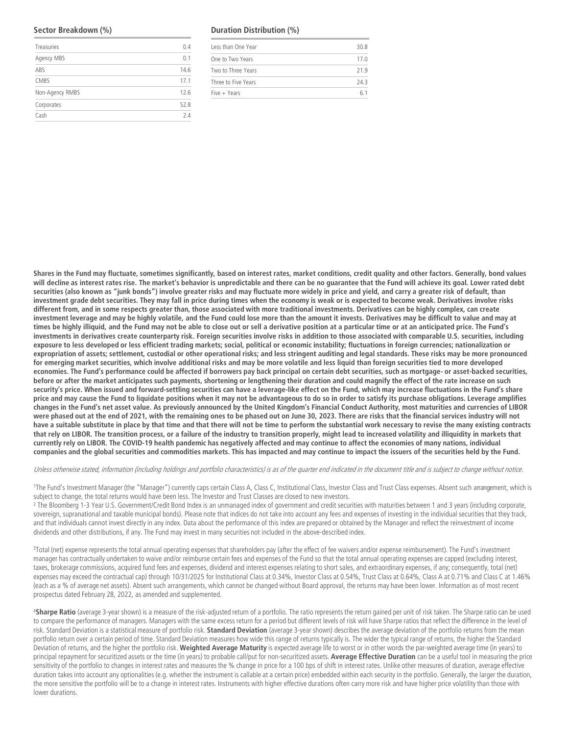#### **Sector Breakdown (%)**

| Treasuries      | 0.4  |
|-----------------|------|
| Agency MBS      | 0.1  |
| ABS             | 14.6 |
| CMBS            | 17.1 |
| Non-Agency RMBS | 12.6 |
| Corporates      | 52.8 |
| Cash            | 74   |

#### **Duration Distribution (%)**

| Less than One Year  | 30.8 |
|---------------------|------|
| One to Two Years    | 17.0 |
| Two to Three Years  | 219  |
| Three to Five Years | 743  |
| Five + Years        | 61   |
|                     |      |

**Shares in the Fund may fluctuate, sometimes significantly, based on interest rates, market conditions, credit quality and other factors. Generally, bond values will decline as interest rates rise. The market's behavior is unpredictable and there can be no guarantee that the Fund will achieve its goal. Lower rated debt securities (also known as "junk bonds") involve greater risks and may fluctuate more widely in price and yield, and carry a greater risk of default, than investment grade debt securities. They may fall in price during times when the economy is weak or is expected to become weak. Derivatives involve risks different from, and in some respects greater than, those associated with more traditional investments. Derivatives can be highly complex, can create investment leverage and may be highly volatile, and the Fund could lose more than the amount it invests. Derivatives may be difficult to value and may at times be highly illiquid, and the Fund may not be able to close out or sell a derivative position at a particular time or at an anticipated price. The Fund's investments in derivatives create counterparty risk. Foreign securities involve risks in addition to those associated with comparable U.S. securities, including exposure to less developed or less efficient trading markets; social, political or economic instability; fluctuations in foreign currencies; nationalization or expropriation of assets; settlement, custodial or other operational risks; and less stringent auditing and legal standards. These risks may be more pronounced for emerging market securities, which involve additional risks and may be more volatile and less liquid than foreign securities tied to more developed economies. The Fund's performance could be affected if borrowers pay back principal on certain debt securities, such as mortgage- or asset-backed securities, before or after the market anticipates such payments, shortening or lengthening their duration and could magnify the effect of the rate increase on such security's price. When issued and forward-settling securities can have a leverage-like effect on the Fund, which may increase fluctuations in the Fund's share price and may cause the Fund to liquidate positions when it may not be advantageous to do so in order to satisfy its purchase obligations. Leverage amplifies changes in the Fund's net asset value. As previously announced by the United Kingdom's Financial Conduct Authority, most maturities and currencies of LIBOR were phased out at the end of 2021, with the remaining ones to be phased out on June 30, 2023. There are risks that the financial services industry will not have a suitable substitute in place by that time and that there will not be time to perform the substantial work necessary to revise the many existing contracts that rely on LIBOR. The transition process, or a failure of the industry to transition properly, might lead to increased volatility and illiquidity in markets that currently rely on LIBOR. The COVID-19 health pandemic has negatively affected and may continue to affect the economies of many nations, individual companies and the global securities and commodities markets. This has impacted and may continue to impact the issuers of the securities held by the Fund.** 

Unless otherwise stated, information (including holdings and portfolio characteristics) is as of the quarter end indicated in the document title and is subject to change without notice.

<sup>1</sup>The Fund's Investment Manager (the "Manager") currently caps certain Class A, Class C, Institutional Class, Investor Class and Trust Class expenses. Absent such arrangement, which is subject to change, the total returns would have been less. The Investor and Trust Classes are closed to new investors.

<sup>2</sup> The Bloomberg 1-3 Year U.S. Government/Credit Bond Index is an unmanaged index of government and credit securities with maturities between 1 and 3 years (including corporate, sovereign, supranational and taxable municipal bonds). Please note that indices do not take into account any fees and expenses of investing in the individual securities that they track, and that individuals cannot invest directly in any index. Data about the performance of this index are prepared or obtained by the Manager and reflect the reinvestment of income dividends and other distributions, if any. The Fund may invest in many securities not included in the above-described index.

<sup>3</sup>Total (net) expense represents the total annual operating expenses that shareholders pay (after the effect of fee waivers and/or expense reimbursement). The Fund's investment manager has contractually undertaken to waive and/or reimburse certain fees and expenses of the Fund so that the total annual operating expenses are capped (excluding interest, taxes, brokerage commissions, acquired fund fees and expenses, dividend and interest expenses relating to short sales, and extraordinary expenses, if any; consequently, total (net) expenses may exceed the contractual cap) through 10/31/2025 for Institutional Class at 0.34%, Investor Class at 0.54%, Trust Class at 0.64%, Class A at 0.71% and Class C at 1.46% (each as a % of average net assets). Absent such arrangements, which cannot be changed without Board approval, the returns may have been lower. Information as of most recent prospectus dated February 28, 2022, as amended and supplemented.

<sup>4</sup>**Sharpe Ratio** (average 3-year shown) is a measure of the risk-adjusted return of a portfolio. The ratio represents the return gained per unit of risk taken. The Sharpe ratio can be used to compare the performance of managers. Managers with the same excess return for a period but different levels of risk will have Sharpe ratios that reflect the difference in the level of risk. Standard Deviation is a statistical measure of portfolio risk. **Standard Deviation** (average 3-year shown) describes the average deviation of the portfolio returns from the mean portfolio return over a certain period of time. Standard Deviation measures how wide this range of returns typically is. The wider the typical range of returns, the higher the Standard Deviation of returns, and the higher the portfolio risk. **Weighted Average Maturity** is expected average life to worst or in other words the par-weighted average time (in years) to principal repayment for securitized assets or the time (in years) to probable call/put for non-securitized assets. **Average Effective Duration** can be a useful tool in measuring the price sensitivity of the portfolio to changes in interest rates and measures the % change in price for a 100 bps of shift in interest rates. Unlike other measures of duration, average effective duration takes into account any optionalities (e.g. whether the instrument is callable at a certain price) embedded within each security in the portfolio. Generally, the larger the duration, the more sensitive the portfolio will be to a change in interest rates. Instruments with higher effective durations often carry more risk and have higher price volatility than those with lower durations.